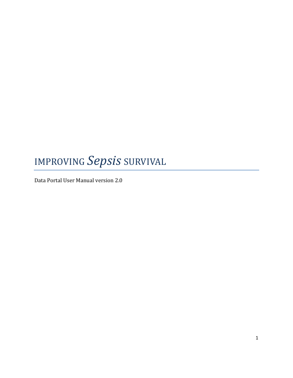# IMPROVING *Sepsis* SURVIVAL

Data Portal User Manual version 2.0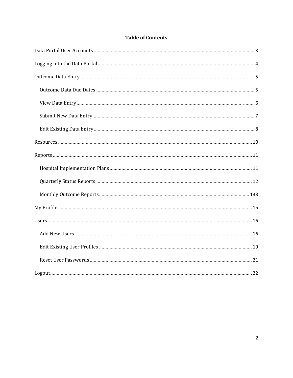### **Table of Contents**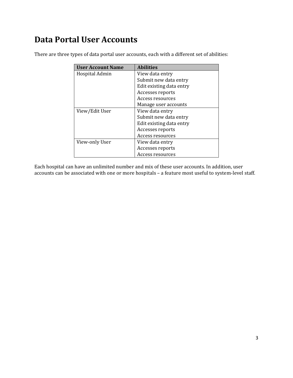### **Data Portal User Accounts**

| <b>User Account Name</b> | <b>Abilities</b>         |
|--------------------------|--------------------------|
| Hospital Admin           | View data entry          |
|                          | Submit new data entry    |
|                          | Edit existing data entry |
|                          | Accesses reports         |
|                          | Access resources         |
|                          | Manage user accounts     |
| View/Edit User           | View data entry          |
|                          | Submit new data entry    |
|                          | Edit existing data entry |
|                          | Accesses reports         |
|                          | Access resources         |
| View-only User           | View data entry          |
|                          | Accesses reports         |
|                          | Access resources         |

There are three types of data portal user accounts, each with a different set of abilities:

Each hospital can have an unlimited number and mix of these user accounts. In addition, user accounts can be associated with one or more hospitals – a feature most useful to system-level staff.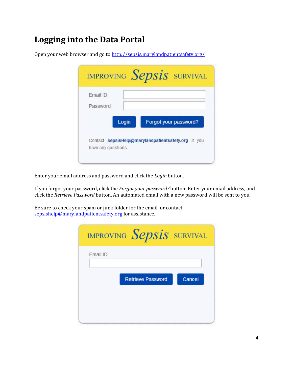# **Logging into the Data Portal**

Open your web browser and go to http://sepsis.marylandpatientsafety.org/

| Email ID |       |                                                     |
|----------|-------|-----------------------------------------------------|
| Password |       |                                                     |
|          | Login | Forgot your password?                               |
|          |       | Contact SepsisHelp@marylandpatientsafety.org if you |

Enter your email address and password and click the *Login* button.

If you forgot your password, click the *Forgot your password?* button. Enter your email address, and click the *Retrieve Password* button. An automated email with a new password will be sent to you.

Be sure to check your spam or junk folder for the email, or contact sepsishelp@marylandpatientsafety.org for assistance.

|          | improving $Sepsis$ survival |        |
|----------|-----------------------------|--------|
| Email ID |                             |        |
|          | <b>Retrieve Password</b>    | Cancel |
|          |                             |        |
|          |                             |        |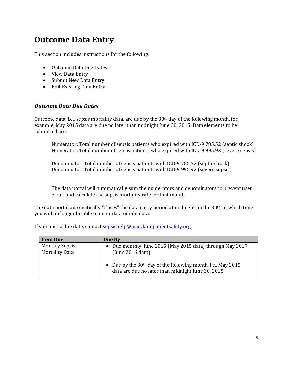### **Outcome Data Entry**

This section includes instructions for the following:

- Outcome Data Due Dates
- View Data Entry
- Submit New Data Entry
- Edit Existing Data Entry

#### *Outcome Data Due Dates*

Outcome data, i.e., sepsis mortality data, are due by the  $30<sup>th</sup>$  day of the following month, for example, May 2015 data are due no later than midnight June 30, 2015. Data elements to be submitted are:

Numerator: Total number of sepsis patients who expired with ICD-9 785.52 (septic shock) Numerator: Total number of sepsis patients who expired with ICD-9 995.92 (severe sepsis)

Denominator: Total number of sepsis patients with ICD-9 785.52 (septic shock) Denominator: Total number of sepsis patients with ICD-9 995.92 (severe sepsis)

The data portal will automatically sum the numerators and denominators to prevent user error, and calculate the sepsis mortality rate for that month.

The data portal automatically "closes" the data entry period at midnight on the  $30<sup>th</sup>$ , at which time you will no longer be able to enter data or edit data.

| <b>Item Due</b>                                | Due By                                                                                                                         |
|------------------------------------------------|--------------------------------------------------------------------------------------------------------------------------------|
| <b>Monthly Sepsis</b><br><b>Mortality Data</b> | Due monthly, June 2015 (May 2015 data) through May 2017<br>$\bullet$<br>(lune 2016 data)                                       |
|                                                | Due by the $30th$ day of the following month, i.e., May 2015<br>$\bullet$<br>data are due no later than midnight June 30, 2015 |

If you miss a due date, contact sepsishelp@marylandpatientsafety.org.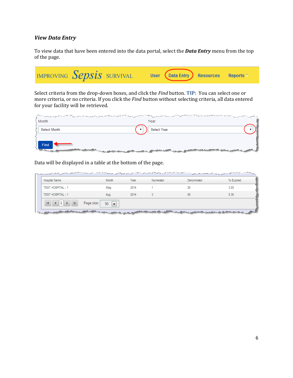#### *View Data Entry*

To view data that have been entered into the data portal, select the **Data Entry** menu from the top of the page.

IMPROVING Sepsis SURVIVAL User **Data Entry Resources** Reports<sup>\*</sup>

Select criteria from the drop-down boxes, and click the *Find* button. TIP: You can select one or more criteria, or no criteria. If you click the *Find* button without selecting criteria, all data entered for your facility will be retrieved.

| Month                                                         | f the company man the second and said company and the Second and the Control to concern the company of the company of the company of the company of the company of the company of the company of the company of the company of<br>Year             |  |
|---------------------------------------------------------------|----------------------------------------------------------------------------------------------------------------------------------------------------------------------------------------------------------------------------------------------------|--|
| Select Month                                                  | Select Year                                                                                                                                                                                                                                        |  |
| $\left\{\right\}$ Find<br>and the party of the local division | <sub>the m</sub> assacht der mit meilige aller <sub>mit ma</sub> s gestellt aus dem gestellt massachen auf der eine Stadt aus der Auswahl und der Ernes an der Beispalt ausgesetztetet der Stadt ausgesetztetet der Stadt ausgesetztet der Stadt a |  |

Data will be displayed in a table at the bottom of the page.

|                          |     |      | Numerator | Denominator | % Expired |
|--------------------------|-----|------|-----------|-------------|-----------|
| <b>TEST HOSPITAL - 1</b> | May | 2014 |           |             | 3.85      |
| <b>TEST HOSPITAL - 1</b> | Aug | 2014 |           | 56          | 5.36      |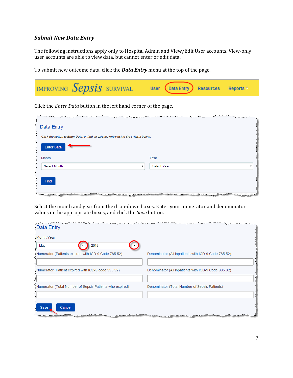#### *Submit New Data Entry*

The following instructions apply only to Hospital Admin and View/Edit User accounts. View-only user accounts are able to view data, but cannot enter or edit data.

To submit new outcome data, click the **Data Entry** menu at the top of the page.



Click the *Enter Data* button in the left hand corner of the page.

| يورد هو ويورد إين مصر 1948 متحقق والأسوار الأسرار والمحارب المساهد المالية المسور إلى إلى المسترد المسترد المستقبل المستقبل المستقبل المستقبل المستقبل المستقبل |                                                                                                        |
|-----------------------------------------------------------------------------------------------------------------------------------------------------------------|--------------------------------------------------------------------------------------------------------|
| Data Entry                                                                                                                                                      |                                                                                                        |
| Click the button to Enter Data, or find an existing entry using the criteria below.                                                                             |                                                                                                        |
| <b>Enter Data</b>                                                                                                                                               |                                                                                                        |
| Month                                                                                                                                                           | Year                                                                                                   |
| <b>Select Month</b>                                                                                                                                             | Select Year                                                                                            |
| Find<br>and have the same one                                                                                                                                   | della contra della contra contra della contra della contra della<br><b><i><u>Alberta Conta</u></i></b> |

Select the month and year from the drop-down boxes. Enter your numerator and denominator values in the appropriate boxes, and click the *Save* button.

| الالمستور بوسي المصرات المصرف والمتعارض والمتعاقب والمتحدث المصروف المستوار المعوا المسور والمستحدث والمستحدث المتحدث المتحدث المتحدث المتحدث<br>∑Data Entry |                                                     |
|--------------------------------------------------------------------------------------------------------------------------------------------------------------|-----------------------------------------------------|
| Month/Year                                                                                                                                                   |                                                     |
| 2015<br>May                                                                                                                                                  |                                                     |
| Numerator (Patients expired with ICD-9 Code 785.52)                                                                                                          | Denominator (All inpatients with ICD-9 Code 785.52) |
|                                                                                                                                                              |                                                     |
| Numerator (Patient expired with ICD-9 code 995.92)                                                                                                           | Denominator (All inpatients with ICD-9 Code 995.92) |
|                                                                                                                                                              |                                                     |
| Numerator (Total Number of Sepsis Patients who expired)                                                                                                      | Denominator (Total Number of Sepsis Patients)       |
|                                                                                                                                                              |                                                     |
| Cancel<br>Save                                                                                                                                               | المواسعة كالشا                                      |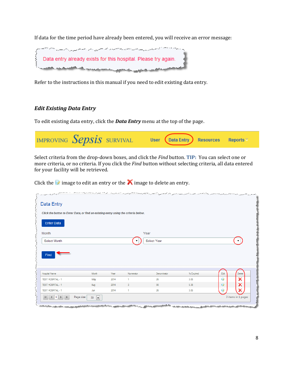If data for the time period have already been entered, you will receive an error message:



Refer to the instructions in this manual if you need to edit existing data entry.

### *Edit Existing Data Entry*

To edit existing data entry, click the **Data Entry** menu at the top of the page.



Select criteria from the drop-down boxes, and click the *Find* button. TIP: You can select one or more criteria, or no criteria. If you click the *Find* button without selecting criteria, all data entered for your facility will be retrieved.

Click the  $\blacksquare$  image to edit an entry or the  $\blacksquare$  image to delete an entry.

| Data Entry                                                                          |            |              |           |             |              |         |        |
|-------------------------------------------------------------------------------------|------------|--------------|-----------|-------------|--------------|---------|--------|
| Click the button to Enter Data, or find an existing entry using the criteria below. |            |              |           |             |              |         |        |
| <b>Enter Data</b>                                                                   |            |              |           |             |              |         |        |
| Month                                                                               |            |              |           | Year        |              |         |        |
|                                                                                     |            |              |           |             |              |         |        |
| Select Month<br>Find                                                                |            |              |           | Select Year |              |         |        |
|                                                                                     |            |              |           |             |              |         |        |
|                                                                                     | Month      | Year         | Numerator | Denominator | % Expired    | Edit    | Delete |
| <b>Hospital Name</b><br><b>TEST HOSPITAL - 1</b>                                    | May        | 2014         | 1         | 26          | 3.85         | Ū       | ×      |
| <b>TEST HOSPITAL - 1</b><br><b>TEST HOSPITAL - 1</b>                                | Aug<br>Jun | 2014<br>2014 | 3         | 56<br>26    | 5.36<br>3.85 | 19<br>Ū | x      |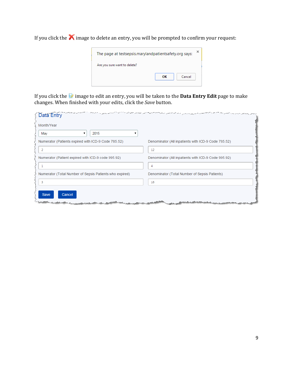If you click the  $\blacktriangle$  image to delete an entry, you will be prompted to confirm your request:



If you click the *i***mage to edit an entry, you will be taken to the Data Entry Edit page to make** changes. When finished with your edits, click the *Save* button.

| Data Entry                                                                                                                                                                                                                                               | درجس يتدفعوا بالهابر درد سمعتها تصريص متصرف والمتشور والمردر برابر برابر المراسين والمستصرف المتصرف المرابع المتحدث المتحدث وقرار المراسين |
|----------------------------------------------------------------------------------------------------------------------------------------------------------------------------------------------------------------------------------------------------------|--------------------------------------------------------------------------------------------------------------------------------------------|
| Month/Year                                                                                                                                                                                                                                               |                                                                                                                                            |
| 2015<br>May                                                                                                                                                                                                                                              |                                                                                                                                            |
| Numerator (Patients expired with ICD-9 Code 785.52)                                                                                                                                                                                                      | Denominator (All inpatients with ICD-9 Code 785.52)                                                                                        |
| 2                                                                                                                                                                                                                                                        | 12                                                                                                                                         |
| Numerator (Patient expired with ICD-9 code 995.92)                                                                                                                                                                                                       | Denominator (All inpatients with ICD-9 Code 995.92)                                                                                        |
|                                                                                                                                                                                                                                                          | 4                                                                                                                                          |
| Numerator (Total Number of Sepsis Patients who expired)                                                                                                                                                                                                  | Denominator (Total Number of Sepsis Patients)                                                                                              |
| 3                                                                                                                                                                                                                                                        | 16                                                                                                                                         |
| <b>Save</b><br>Cancel<br>an all the same self and the same second services of the same of the same of the same of the same of the same<br>de de la fin de la fin de la fin de la fin de la fin de la fin de la fin de la fin de la fin de la fin de la f |                                                                                                                                            |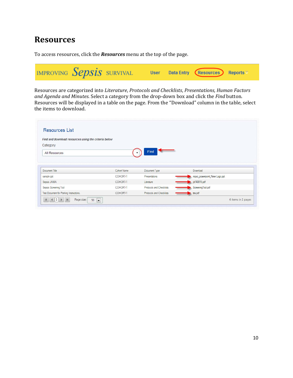### **Resources**

To access resources, click the **Resources** menu at the top of the page.



Resources are categorized into *Literature*, *Protocols and Checklists*, *Presentations, Human Factors and Agenda and Minutes*. Select a category from the drop-down box and click the *Find* button. Resources will be displayed in a table on the page. From the "Download" column in the table, select the items to download.

| <b>Resources List</b>                                |             |                          |                              |
|------------------------------------------------------|-------------|--------------------------|------------------------------|
| Find and download resources using the criteria below |             |                          |                              |
| Category                                             |             |                          |                              |
| All Resources                                        |             | Find                     |                              |
|                                                      |             |                          |                              |
|                                                      |             |                          |                              |
|                                                      |             |                          |                              |
|                                                      | Cohort Name | Document Type            | Download                     |
| Document Title<br>sample ppt                         | COHORT-1    | Presentations            | mosc_powerpoint_New Logo.ppt |
|                                                      | COHORT-1    | Literature               | $\frac{1}{2}$ ild140016.pdf  |
| Sepsis JAMA<br>Sepsis Screening Tool                 | COHORT-1    | Protocols and Checklists | ScreeningTool.pdf            |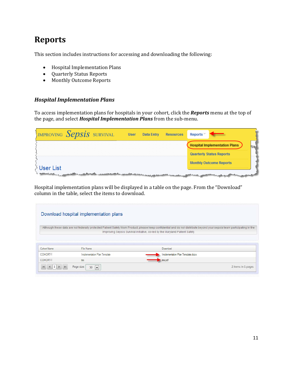### **Reports**

This section includes instructions for accessing and downloading the following:

- Hospital Implementation Plans
- Quarterly Status Reports
- Monthly Outcome Reports

### *Hospital Implementation Plans*

To access implementation plans for hospitals in your cohort, click the **Reports** menu at the top of the page, and select *Hospital Implementation Plans* from the sub-menu.

| IMPROVING $Sepsis$ survival                             | <b>User</b> | <b>Data Entry</b> | <b>Resources</b> | Reports $\vee$                                                                                                                                                                                                                |
|---------------------------------------------------------|-------------|-------------------|------------------|-------------------------------------------------------------------------------------------------------------------------------------------------------------------------------------------------------------------------------|
|                                                         |             |                   |                  | <b>Hospital Implementation Plans</b>                                                                                                                                                                                          |
|                                                         |             |                   |                  | <b>Quarterly Status Reports</b>                                                                                                                                                                                               |
|                                                         |             |                   |                  | <b>Monthly Outcome Reports</b>                                                                                                                                                                                                |
| <b>SUser List</b><br>is an able of the first second and |             |                   |                  | and the second the second state of the company of the second state of the company of the second state of the second state of the second state of the second state of the second state of the second state of the second state |

Hospital implementation plans will be displayed in a table on the page. From the "Download" column in the table, select the items to download.

|                         | Download hospital implementation plans |                                                                                                                                                                                                                                                         |
|-------------------------|----------------------------------------|---------------------------------------------------------------------------------------------------------------------------------------------------------------------------------------------------------------------------------------------------------|
|                         |                                        | Although these data are not federally protected Patient Safety Work Product, please keep confidential and do not distribute beyond your sepsis team participating in the<br>Improving Sepsis Survival initiative, co-led by the Maryland Patient Safety |
|                         |                                        |                                                                                                                                                                                                                                                         |
|                         | File Name                              | Download                                                                                                                                                                                                                                                |
| Cohort Name<br>COHORT-1 | Implementation Plan Template           | Implementation Plan Template.docx                                                                                                                                                                                                                       |
| COHORT-1                | tes                                    | tes.pdf                                                                                                                                                                                                                                                 |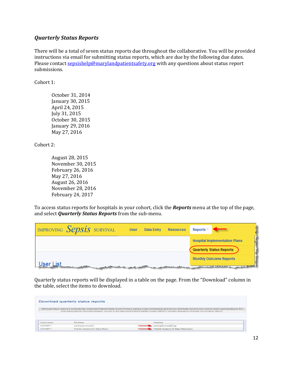#### *Quarterly Status Reports*

There will be a total of seven status reports due throughout the collaborative. You will be provided instructions via email for submitting status reports, which are due by the following due dates. Please contact sepsishelp@marylandpatientsafety.org with any questions about status report submissions. 

 $Cohort 1:$ 

October 31, 2014 January 30, 2015 April 24, 2015 July 31, 2015 October 30, 2015 January 29, 2016 May 27, 2016 

Cohort 2:

August 28, 2015 November 30, 2015 February 26, 2016 May 27, 2016 August 26, 2016 November 28, 2016 February 24, 2017

To access status reports for hospitals in your cohort, click the **Reports** menu at the top of the page, and select *Quarterly Status Reports* from the sub-menu.

| IMPROVING Sepsis survival | <b>User</b> | <b>Data Entry</b> | <b>Resources</b>                       | Reports $\mathbb{V}$                               |
|---------------------------|-------------|-------------------|----------------------------------------|----------------------------------------------------|
|                           |             |                   |                                        | <b>Hospital Implementation Plans</b>               |
|                           |             |                   |                                        | <b>Quarterly Status Reports</b>                    |
|                           |             |                   |                                        | <b>Monthly Outcome Reports</b>                     |
| <u>User List</u>          |             |                   | have a successful month of the last of | الأكام المسترددين بالمتحالة المحافظ المصيصات مدامر |

Quarterly status reports will be displayed in a table on the page. From the "Download" column in the table, select the items to download.

|             | Download quarterly status reports     |                                                                                                                                                                                                                                                                                                                    |
|-------------|---------------------------------------|--------------------------------------------------------------------------------------------------------------------------------------------------------------------------------------------------------------------------------------------------------------------------------------------------------------------|
|             |                                       | Although these data are not federally protected Patient Safety Work Product, please keep confidential and do not distribute beyond your sepsis team participating in the<br>Improving Sepsis Survival initiative, co-led by the Maryland Patient Safety Center (MPSC) and the Maryland Hospital Association (MHA). |
|             |                                       |                                                                                                                                                                                                                                                                                                                    |
| Cohort Name | File Name                             | Download                                                                                                                                                                                                                                                                                                           |
| COHORT-1    | smoking-for-moms[1]                   | smoking-for-moms[1].jpg                                                                                                                                                                                                                                                                                            |
| COHORT-1    | Potential Questions for Status Report | Potential Questions for Status Report docx                                                                                                                                                                                                                                                                         |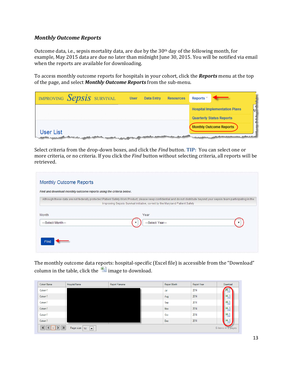#### *Monthly Outcome Reports*

Outcome data, i.e., sepsis mortality data, are due by the  $30<sup>th</sup>$  day of the following month, for example, May 2015 data are due no later than midnight June 30, 2015. You will be notified via email when the reports are available for downloading.

To access monthly outcome reports for hospitals in your cohort, click the **Reports** menu at the top of the page, and select **Monthly Outcome Reports** from the sub-menu.

| IMPROVING Sepsis SURVIVAL                                                                                                   | <b>User</b> | <b>Data Entry</b> | <b>Resources</b> | Reports $9$                                                                                                                                             |
|-----------------------------------------------------------------------------------------------------------------------------|-------------|-------------------|------------------|---------------------------------------------------------------------------------------------------------------------------------------------------------|
|                                                                                                                             |             |                   |                  | <b>Hospital Implementation Plans</b>                                                                                                                    |
|                                                                                                                             |             |                   |                  | <b>Quarterly Status Reports</b>                                                                                                                         |
| User List<br>المتعارضة والمتقارضة والمستقرر والمستنبذ والمستنقص والمستقرر والمستنبي والمستحقق والمستعمل والمتعارض والمتعارض |             |                   |                  | <b>Monthly Outcome Reports</b><br><u> Paradista a partir a constituidade a constituidade a partir de partir de partir de partir de partir de partir</u> |

Select criteria from the drop-down boxes, and click the *Find* button. **TIP:** You can select one or more criteria, or no criteria. If you click the *Find* button without selecting criteria, all reports will be retrieved. 

| Find and download monthly outcome reports using the criteria below.<br>Although these data are not federally protected Patient Safety Work Product, please keep confidential and do not distribute beyond your sepsis team participating in the |                                                                             |  |
|-------------------------------------------------------------------------------------------------------------------------------------------------------------------------------------------------------------------------------------------------|-----------------------------------------------------------------------------|--|
|                                                                                                                                                                                                                                                 | Improving Sepsis Survival initiative, co-led by the Maryland Patient Safety |  |
|                                                                                                                                                                                                                                                 |                                                                             |  |
| Month                                                                                                                                                                                                                                           | Year                                                                        |  |
| --Select Month---                                                                                                                                                                                                                               | ---Select Year---                                                           |  |
|                                                                                                                                                                                                                                                 |                                                                             |  |

The monthly outcome data reports: hospital-specific (Excel file) is accessible from the "Download" column in the table, click the  $\Box$  image to download.

| Cohort Name                      | <b>Hospital Name</b>                      | Report Filename | Report Month | Report Year | Download           |
|----------------------------------|-------------------------------------------|-----------------|--------------|-------------|--------------------|
| Cohort-1                         |                                           |                 | Jul          | 2014        | -                  |
| Cohort-1                         |                                           |                 | Aug          | 2014        | 国                  |
| Cohort-1                         |                                           |                 | Sep          | 2014        | 国                  |
| Cohort-1                         |                                           |                 | Nov          | 2014        | 国                  |
| Cohort-1                         |                                           |                 | Oct          | 2014        | 国                  |
| Cohort-1                         |                                           |                 | Dec          | 2014        | 菌                  |
| $\langle$ 1 > $\rightarrow$<br>K | Page size: 50<br>$\vert \mathbf{v} \vert$ |                 |              |             | 6 items in 1 pages |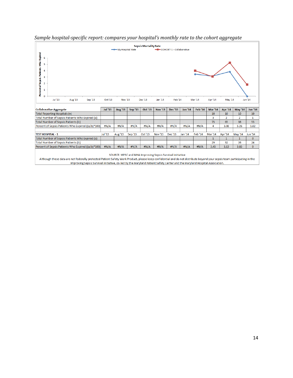



SOURCE: MPSC and MHA Improving Sepsis Survival initiative Although these data are not federally protected Patient Safety Work Product, please keep confidential and do not distribute beyond your sepsis team participating in the Improving Sepsis Survival initiative, co-led by the Maryland Patient Safety Center and the Maryland Hospital Association.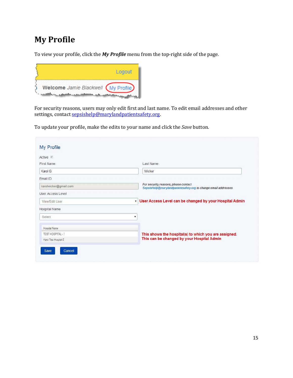### **My Profile**

To view your profile, click the *My Profile* menu from the top-right side of the page.



For security reasons, users may only edit first and last name. To edit email addresses and other settings, contact <u>sepsishelp@marylandpatientsafety.org</u>.

To update your profile, make the edits to your name and click the *Save* button.

| Last Name                                                                                              |
|--------------------------------------------------------------------------------------------------------|
| Wicker                                                                                                 |
|                                                                                                        |
| For security reasons, please contact<br>SepsisHelp@marylandpatientsafety.org to change email addresses |
|                                                                                                        |
| User Access Level can be changed by your Hospital Admin<br>$\mathbf{v}$                                |
|                                                                                                        |
| ▼                                                                                                      |
|                                                                                                        |
| This shows the hospital(s) to which you are assigned.                                                  |
| This can be changed by your Hospital Admin                                                             |
|                                                                                                        |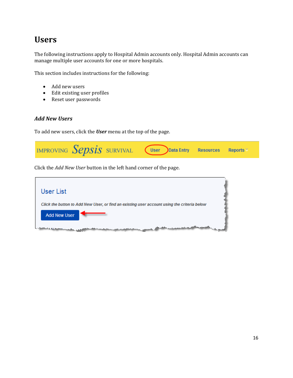### **Users**

The following instructions apply to Hospital Admin accounts only. Hospital Admin accounts can manage multiple user accounts for one or more hospitals.

This section includes instructions for the following:

- Add new users
- Edit existing user profiles
- Reset user passwords

### *Add New Users*

To add new users, click the **User** menu at the top of the page.



Click the *Add New User* button in the left hand corner of the page.

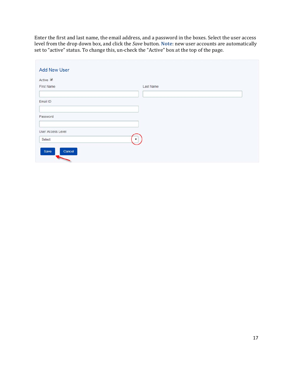Enter the first and last name, the email address, and a password in the boxes. Select the user access level from the drop down box, and click the *Save* button. **Note**: new user accounts are automatically set to "active" status. To change this, un-check the "Active" box at the top of the page.

| Last Name    |
|--------------|
|              |
|              |
|              |
|              |
|              |
|              |
| $\mathbf{v}$ |
|              |
|              |
|              |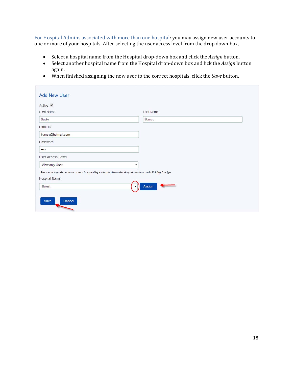For Hospital Admins associated with more than one hospital: you may assign new user accounts to one or more of your hospitals. After selecting the user access level from the drop down box,

- Select a hospital name from the Hospital drop-down box and click the *Assign* button.
- Select another hospital name from the Hospital drop-down box and lick the *Assign* button again.
- When finished assigning the new user to the correct hospitals, click the *Save* button.

| <b>Add New User</b>                                                                              |                      |
|--------------------------------------------------------------------------------------------------|----------------------|
| Active <i>■</i>                                                                                  |                      |
| First Name                                                                                       | Last Name            |
| Dusty                                                                                            | <b>Burnes</b>        |
| Email ID                                                                                         |                      |
| burnes@hotmail.com                                                                               |                      |
| Password                                                                                         |                      |
|                                                                                                  |                      |
| <b>User Access Level</b>                                                                         |                      |
| View-only User                                                                                   | $\blacktriangledown$ |
| Please assign the new user to a hospital by selecting from the drop-down box and clicking Assign |                      |
| Hospital Name                                                                                    |                      |
| Select                                                                                           | Assign               |
| Cancel<br>Save                                                                                   |                      |
|                                                                                                  |                      |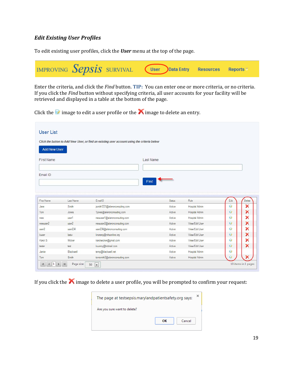#### *Edit Existing User Profiles*

To edit existing user profiles, click the **User** menu at the top of the page.



Enter the criteria, and click the *Find* button. **TIP:** You can enter one or more criteria, or no criteria. If you click the *Find* button without specifying criteria, all user accounts for your facility will be retrieved and displayed in a table at the bottom of the page.

Click the  $\blacksquare$  image to edit a user profile or the  $\blacktriangle$  image to delete an entry.

|                                                                                              |           | Click the button to Add New User, or find an existing user account using the criteria below |               |                |      |        |
|----------------------------------------------------------------------------------------------|-----------|---------------------------------------------------------------------------------------------|---------------|----------------|------|--------|
| <b>Add New User</b>                                                                          |           |                                                                                             |               |                |      |        |
| <b>First Name</b>                                                                            |           |                                                                                             | Last Name     |                |      |        |
| Email ID                                                                                     |           |                                                                                             |               |                |      |        |
|                                                                                              |           |                                                                                             | Find          |                |      |        |
|                                                                                              |           |                                                                                             |               |                |      |        |
|                                                                                              |           |                                                                                             |               |                |      |        |
|                                                                                              | Last Name | EmailD                                                                                      | <b>Status</b> | Role.          | Edit | Delete |
|                                                                                              | Smith     | jsmith1231@aileronconsulting.com                                                            | Active        | Hospital Admin | I9   | ×      |
|                                                                                              | Jones     | Tjones@aileronconsulting.com                                                                | Active        | Hospital Admin | I.   | x      |
|                                                                                              | user1     | newuser1@aileronconsulting.com                                                              | Active        | Hospital Admin | Đ    | x      |
|                                                                                              | user2     | newuser2@aileronconsulting.com                                                              | Active        | View/Edit User | Đ    | ×      |
|                                                                                              | user234   | user234@aileronconsulting.com                                                               | Active        | View/Edit User | ŵ    | х      |
|                                                                                              | lasty     | knarang@mhaonline.org                                                                       | Active        | View/Edit User | I9)  | x      |
|                                                                                              | Wicker    | karolwicker@gmail.com                                                                       | Active        | View/Edit User | ŵ    | х      |
|                                                                                              | test      | kuunny@hotmail.com                                                                          | Active        | View/Edit User | Đ    | ×      |
| First Name<br>Jane<br>Tom<br>new<br>newuser2<br>user2<br>kuser<br>Karol G<br>tester<br>Jamie | Blackwell | temp@blackwell.net                                                                          | Active        | Hospital Admin | Đ    |        |

If you click the  $\blacktriangle$  image to delete a user profile, you will be prompted to confirm your request:

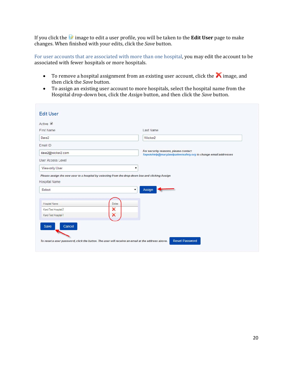If you click the *image* to edit a user profile, you will be taken to the **Edit User** page to make changes. When finished with your edits, click the *Save* button.

For user accounts that are associated with more than one hospital, you may edit the account to be associated with fewer hospitals or more hospitals.

- To remove a hospital assignment from an existing user account, click the  $\bigwedge$  image, and then click the *Save* button.
- To assign an existing user account to more hospitals, select the hospital name from the Hospital drop-down box, click the *Assign* button, and then click the *Save* button.

| Last Name<br>Wicker <sub>2</sub><br>For security reasons, please contact<br>SepsisHelp@marylandpatientsafety.org to change email addresses<br>Please assign the new user to a hospital by selecting from the drop-down box and clicking Assign |
|------------------------------------------------------------------------------------------------------------------------------------------------------------------------------------------------------------------------------------------------|
|                                                                                                                                                                                                                                                |
|                                                                                                                                                                                                                                                |
|                                                                                                                                                                                                                                                |
|                                                                                                                                                                                                                                                |
|                                                                                                                                                                                                                                                |
|                                                                                                                                                                                                                                                |
|                                                                                                                                                                                                                                                |
| Assign                                                                                                                                                                                                                                         |
|                                                                                                                                                                                                                                                |
|                                                                                                                                                                                                                                                |
|                                                                                                                                                                                                                                                |
|                                                                                                                                                                                                                                                |
| To reset a user password, click the button. The user will receive an email at the address above.                                                                                                                                               |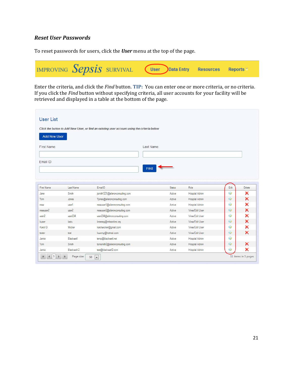### *Reset User Passwords*

To reset passwords for users, click the **User** menu at the top of the page.



Enter the criteria, and click the *Find* button. **TIP:** You can enter one or more criteria, or no criteria. If you click the *Find* button without specifying criteria, all user accounts for your facility will be retrieved and displayed in a table at the bottom of the page.

| <b>Add New User</b>                                                                                 |                    |                                                       |                  |                                  |        |                                      |
|-----------------------------------------------------------------------------------------------------|--------------------|-------------------------------------------------------|------------------|----------------------------------|--------|--------------------------------------|
| First Name                                                                                          |                    |                                                       | Last Name        |                                  |        |                                      |
|                                                                                                     |                    |                                                       |                  |                                  |        |                                      |
|                                                                                                     |                    |                                                       |                  |                                  |        |                                      |
|                                                                                                     |                    | Find                                                  |                  |                                  |        |                                      |
|                                                                                                     |                    |                                                       |                  |                                  |        |                                      |
|                                                                                                     |                    |                                                       |                  |                                  |        |                                      |
|                                                                                                     |                    |                                                       |                  |                                  |        |                                      |
|                                                                                                     |                    |                                                       |                  |                                  |        |                                      |
|                                                                                                     | Last Name          | EmailD                                                | <b>Status</b>    | Role                             | Edit   | Delete                               |
|                                                                                                     | Smith              | jsmith1231@aileronconsulting.com                      | Active           | Hospital Admin                   | ŵ      | ×                                    |
|                                                                                                     | Jones              | Tjones@aileronconsulting.com                          | Active           | Hospital Admin                   | I9     |                                      |
|                                                                                                     | user1              | newuser1@aileronconsulting.com                        | Active           | Hospital Admin                   | ŵ      |                                      |
|                                                                                                     | user <sub>2</sub>  | newuser2@aileronconsulting.com                        | Active           | View/Edit User                   | Đ      |                                      |
|                                                                                                     | user234            | user234@aileronconsulting.com                         | Active           | View/Edit User                   | ŵ      |                                      |
|                                                                                                     | lasty              | knarang@mhaonline.org                                 | Active           | View/Edit User                   | I9     |                                      |
|                                                                                                     | Wicker             | karolwicker@gmail.com                                 | Active           | View/Edit User                   | ŵ      |                                      |
|                                                                                                     | test               | kuunny@hotmail.com                                    | Active           | View/Edit User                   | I9     |                                      |
| First Name<br>Jane<br>Tom<br>new<br>newuser2<br>user2<br>kuser<br>Karol G<br>tester<br>Jamie<br>Tom | Blackwell<br>Smith | temp@blackwell.net<br>tomsmith2@aileronconsulting.com | Active<br>Active | Hospital Admin<br>Hospital Admin | ŵ<br>咬 | ×<br>×<br>×<br>×<br>×<br>×<br>×<br>× |